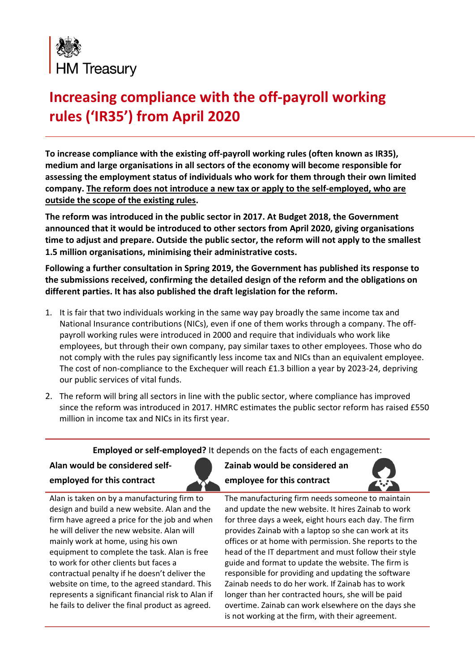

## **Increasing compliance with the off-payroll working rules ('IR35') from April 2020**

**To increase compliance with the existing off-payroll working rules (often known as IR35), medium and large organisations in all sectors of the economy will become responsible for assessing the employment status of individuals who work for them through their own limited company. The reform does not introduce a new tax or apply to the self-employed, who are outside the scope of the existing rules.**

**The reform was introduced in the public sector in 2017. At Budget 2018, the Government announced that it would be introduced to other sectors from April 2020, giving organisations time to adjust and prepare. Outside the public sector, the reform will not apply to the smallest 1.5 million organisations, minimising their administrative costs.**

**Following a further consultation in Spring 2019, the Government has published its response to the submissions received, confirming the detailed design of the reform and the obligations on different parties. It has also published the draft legislation for the reform.** 

- 1. It is fair that two individuals working in the same way pay broadly the same income tax and National Insurance contributions (NICs), even if one of them works through a company. The offpayroll working rules were introduced in 2000 and require that individuals who work like employees, but through their own company, pay similar taxes to other employees. Those who do not comply with the rules pay significantly less income tax and NICs than an equivalent employee. The cost of non-compliance to the Exchequer will reach £1.3 billion a year by 2023-24, depriving our public services of vital funds.
- 2. The reform will bring all sectors in line with the public sector, where compliance has improved since the reform was introduced in 2017. HMRC estimates the public sector reform has raised £550 million in income tax and NICs in its first year.

**Employed or self-employed?** It depends on the facts of each engagement:

**Alan would be considered self- Zainab would be considered an** 



**employed for this contract employee for this contract** 



Alan is taken on by a manufacturing firm to design and build a new website. Alan and the firm have agreed a price for the job and when he will deliver the new website. Alan will mainly work at home, using his own equipment to complete the task. Alan is free to work for other clients but faces a contractual penalty if he doesn't deliver the website on time, to the agreed standard. This represents a significant financial risk to Alan if he fails to deliver the final product as agreed.

The manufacturing firm needs someone to maintain and update the new website. It hires Zainab to work for three days a week, eight hours each day. The firm provides Zainab with a laptop so she can work at its offices or at home with permission. She reports to the head of the IT department and must follow their style guide and format to update the website. The firm is responsible for providing and updating the software Zainab needs to do her work. If Zainab has to work longer than her contracted hours, she will be paid overtime. Zainab can work elsewhere on the days she is not working at the firm, with their agreement.